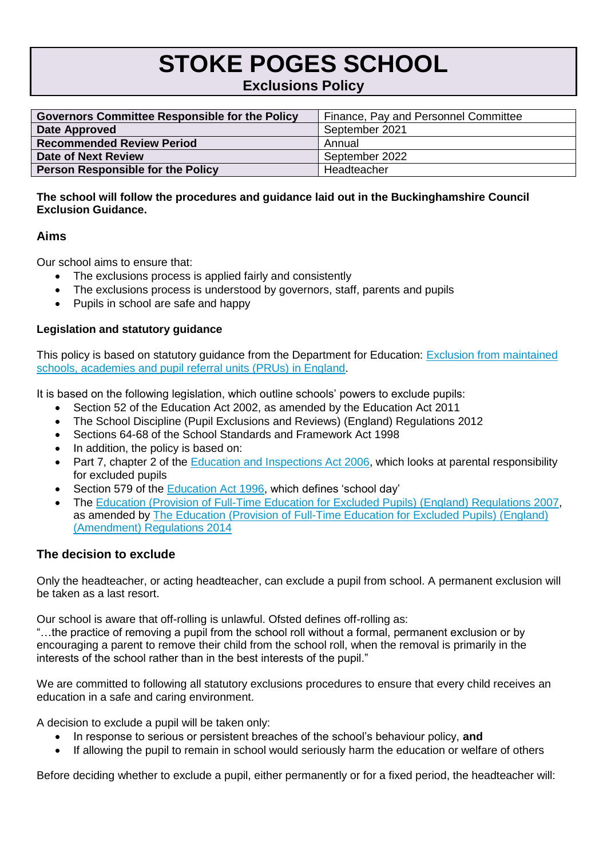# **STOKE POGES SCHOOL**

# **Exclusions Policy**

| <b>Governors Committee Responsible for the Policy</b> | Finance, Pay and Personnel Committee |  |
|-------------------------------------------------------|--------------------------------------|--|
| Date Approved                                         | September 2021                       |  |
| <b>Recommended Review Period</b>                      | Annual                               |  |
| Date of Next Review                                   | September 2022                       |  |
| <b>Person Responsible for the Policy</b>              | Headteacher                          |  |

#### **The school will follow the procedures and guidance laid out in the Buckinghamshire Council Exclusion Guidance.**

## **Aims**

Our school aims to ensure that:

- The exclusions process is applied fairly and consistently
- The exclusions process is understood by governors, staff, parents and pupils
- Pupils in school are safe and happy

## **Legislation and statutory guidance**

This policy is based on statutory guidance from the Department for Education: [Exclusion from maintained](https://www.gov.uk/government/publications/school-exclusion)  [schools, academies and pupil referral units \(PRUs\) in England.](https://www.gov.uk/government/publications/school-exclusion)

It is based on the following legislation, which outline schools' powers to exclude pupils:

- Section 52 of the [Education Act 2002,](http://www.legislation.gov.uk/ukpga/2002/32/section/52) as amended by the [Education Act 2011](http://www.legislation.gov.uk/ukpga/2011/21/contents/enacted)
- [The School Discipline \(Pupil Exclusions and Reviews\) \(England\) Regulations 2012](http://www.legislation.gov.uk/uksi/2012/1033/made)
- Sections 64-68 of the [School Standards and Framework Act 1998](http://www.legislation.gov.uk/ukpga/1998/31)
- In addition, the policy is based on:
- Part 7, chapter 2 of the [Education and Inspections Act 2006,](http://www.legislation.gov.uk/ukpga/2006/40/part/7/chapter/2) which looks at parental responsibility for excluded pupils
- Section 579 of the [Education Act](http://www.legislation.gov.uk/ukpga/1996/56/section/579) 1996, which defines 'school day'
- The [Education \(Provision of Full-Time Education for Excluded Pupils\) \(England\) Regulations 2007,](http://www.legislation.gov.uk/uksi/2007/1870/contents/made) as amended by [The Education \(Provision of Full-Time Education for Excluded Pupils\) \(England\)](http://www.legislation.gov.uk/uksi/2014/3216/contents/made)  [\(Amendment\) Regulations 2014](http://www.legislation.gov.uk/uksi/2014/3216/contents/made)

# **The decision to exclude**

Only the headteacher, or acting headteacher, can exclude a pupil from school. A permanent exclusion will be taken as a last resort.

Our school is aware that off-rolling is unlawful. Ofsted defines off-rolling as:

"…the practice of removing a pupil from the school roll without a formal, permanent exclusion or by encouraging a parent to remove their child from the school roll, when the removal is primarily in the interests of the school rather than in the best interests of the pupil."

We are committed to following all statutory exclusions procedures to ensure that every child receives an education in a safe and caring environment.

A decision to exclude a pupil will be taken only:

- In response to serious or persistent breaches of the school's behaviour policy, **and**
- If allowing the pupil to remain in school would seriously harm the education or welfare of others

Before deciding whether to exclude a pupil, either permanently or for a fixed period, the headteacher will: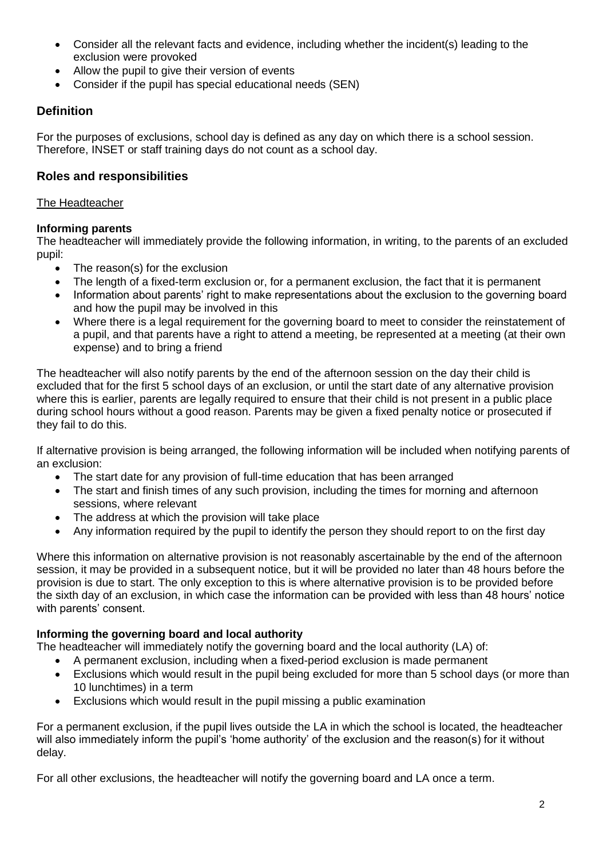- Consider all the relevant facts and evidence, including whether the incident(s) leading to the exclusion were provoked
- Allow the pupil to give their version of events
- Consider if the pupil has special educational needs (SEN)

# **Definition**

For the purposes of exclusions, school day is defined as any day on which there is a school session. Therefore, INSET or staff training days do not count as a school day.

# **Roles and responsibilities**

#### The Headteacher

#### **Informing parents**

The headteacher will immediately provide the following information, in writing, to the parents of an excluded pupil:

- The reason(s) for the exclusion
- The length of a fixed-term exclusion or, for a permanent exclusion, the fact that it is permanent
- Information about parents' right to make representations about the exclusion to the governing board and how the pupil may be involved in this
- Where there is a legal requirement for the governing board to meet to consider the reinstatement of a pupil, and that parents have a right to attend a meeting, be represented at a meeting (at their own expense) and to bring a friend

The headteacher will also notify parents by the end of the afternoon session on the day their child is excluded that for the first 5 school days of an exclusion, or until the start date of any alternative provision where this is earlier, parents are legally required to ensure that their child is not present in a public place during school hours without a good reason. Parents may be given a fixed penalty notice or prosecuted if they fail to do this.

If alternative provision is being arranged, the following information will be included when notifying parents of an exclusion:

- The start date for any provision of full-time education that has been arranged
- The start and finish times of any such provision, including the times for morning and afternoon sessions, where relevant
- The address at which the provision will take place
- Any information required by the pupil to identify the person they should report to on the first day

Where this information on alternative provision is not reasonably ascertainable by the end of the afternoon session, it may be provided in a subsequent notice, but it will be provided no later than 48 hours before the provision is due to start. The only exception to this is where alternative provision is to be provided before the sixth day of an exclusion, in which case the information can be provided with less than 48 hours' notice with parents' consent.

#### **Informing the governing board and local authority**

The headteacher will immediately notify the governing board and the local authority (LA) of:

- A permanent exclusion, including when a fixed-period exclusion is made permanent
- Exclusions which would result in the pupil being excluded for more than 5 school days (or more than 10 lunchtimes) in a term
- Exclusions which would result in the pupil missing a public examination

For a permanent exclusion, if the pupil lives outside the LA in which the school is located, the headteacher will also immediately inform the pupil's 'home authority' of the exclusion and the reason(s) for it without delay.

For all other exclusions, the headteacher will notify the governing board and LA once a term.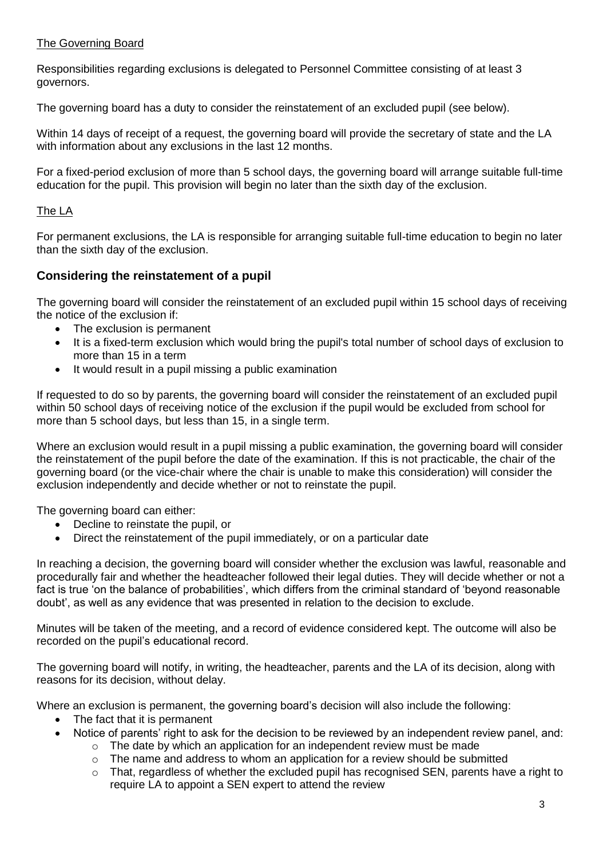#### The Governing Board

Responsibilities regarding exclusions is delegated to Personnel Committee consisting of at least 3 governors.

The governing board has a duty to consider the reinstatement of an excluded pupil (see below).

Within 14 days of receipt of a request, the governing board will provide the secretary of state and the LA with information about any exclusions in the last 12 months.

For a fixed-period exclusion of more than 5 school days, the governing board will arrange suitable full-time education for the pupil. This provision will begin no later than the sixth day of the exclusion.

#### The LA

For permanent exclusions, the LA is responsible for arranging suitable full-time education to begin no later than the sixth day of the exclusion.

#### **Considering the reinstatement of a pupil**

The governing board will consider the reinstatement of an excluded pupil within 15 school days of receiving the notice of the exclusion if:

- The exclusion is permanent
- It is a fixed-term exclusion which would bring the pupil's total number of school days of exclusion to more than 15 in a term
- It would result in a pupil missing a public examination

If requested to do so by parents, the governing board will consider the reinstatement of an excluded pupil within 50 school days of receiving notice of the exclusion if the pupil would be excluded from school for more than 5 school days, but less than 15, in a single term.

Where an exclusion would result in a pupil missing a public examination, the governing board will consider the reinstatement of the pupil before the date of the examination. If this is not practicable, the chair of the governing board (or the vice-chair where the chair is unable to make this consideration) will consider the exclusion independently and decide whether or not to reinstate the pupil.

The governing board can either:

- Decline to reinstate the pupil, or
- Direct the reinstatement of the pupil immediately, or on a particular date

In reaching a decision, the governing board will consider whether the exclusion was lawful, reasonable and procedurally fair and whether the headteacher followed their legal duties. They will decide whether or not a fact is true 'on the balance of probabilities', which differs from the criminal standard of 'beyond reasonable doubt', as well as any evidence that was presented in relation to the decision to exclude.

Minutes will be taken of the meeting, and a record of evidence considered kept. The outcome will also be recorded on the pupil's educational record.

The governing board will notify, in writing, the headteacher, parents and the LA of its decision, along with reasons for its decision, without delay.

Where an exclusion is permanent, the governing board's decision will also include the following:

- The fact that it is permanent
- Notice of parents' right to ask for the decision to be reviewed by an independent review panel, and:
	- $\circ$  The date by which an application for an independent review must be made
	- $\circ$  The name and address to whom an application for a review should be submitted
	- $\circ$  That, regardless of whether the excluded pupil has recognised SEN, parents have a right to require LA to appoint a SEN expert to attend the review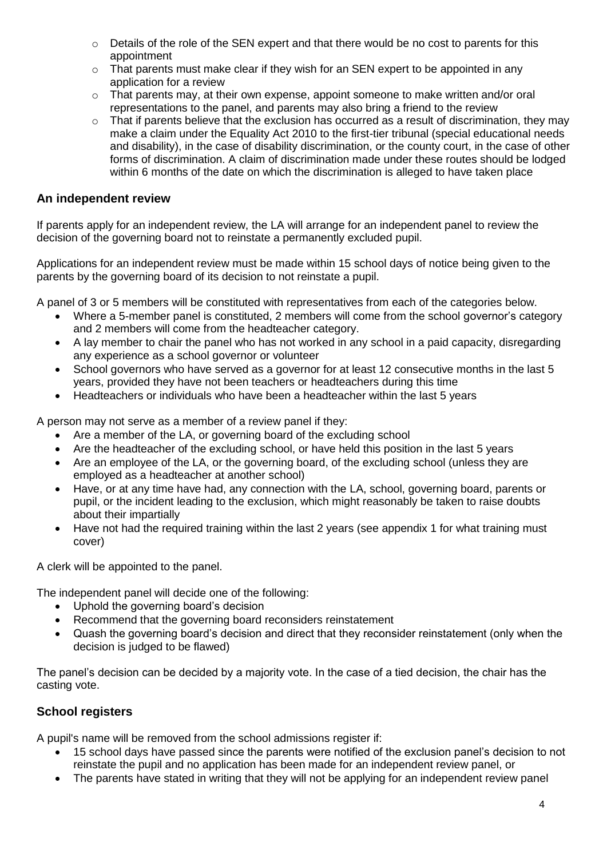- $\circ$  Details of the role of the SEN expert and that there would be no cost to parents for this appointment
- $\circ$  That parents must make clear if they wish for an SEN expert to be appointed in any application for a review
- o That parents may, at their own expense, appoint someone to make written and/or oral representations to the panel, and parents may also bring a friend to the review
- $\circ$  That if parents believe that the exclusion has occurred as a result of discrimination, they may make a claim under the Equality Act 2010 to the first-tier tribunal (special educational needs and disability), in the case of disability discrimination, or the county court, in the case of other forms of discrimination. A claim of discrimination made under these routes should be lodged within 6 months of the date on which the discrimination is alleged to have taken place

#### **An independent review**

If parents apply for an independent review, the LA will arrange for an independent panel to review the decision of the governing board not to reinstate a permanently excluded pupil.

Applications for an independent review must be made within 15 school days of notice being given to the parents by the governing board of its decision to not reinstate a pupil.

A panel of 3 or 5 members will be constituted with representatives from each of the categories below.

- Where a 5-member panel is constituted, 2 members will come from the school governor's category and 2 members will come from the headteacher category.
- A lay member to chair the panel who has not worked in any school in a paid capacity, disregarding any experience as a school governor or volunteer
- School governors who have served as a governor for at least 12 consecutive months in the last 5 years, provided they have not been teachers or headteachers during this time
- Headteachers or individuals who have been a headteacher within the last 5 years

A person may not serve as a member of a review panel if they:

- Are a member of the LA, or governing board of the excluding school
- Are the headteacher of the excluding school, or have held this position in the last 5 years
- Are an employee of the LA, or the governing board, of the excluding school (unless they are employed as a headteacher at another school)
- Have, or at any time have had, any connection with the LA, school, governing board, parents or pupil, or the incident leading to the exclusion, which might reasonably be taken to raise doubts about their impartially
- Have not had the required training within the last 2 years (see appendix 1 for what training must cover)

A clerk will be appointed to the panel.

The independent panel will decide one of the following:

- Uphold the governing board's decision
- Recommend that the governing board reconsiders reinstatement
- Quash the governing board's decision and direct that they reconsider reinstatement (only when the decision is judged to be flawed)

The panel's decision can be decided by a majority vote. In the case of a tied decision, the chair has the casting vote.

#### **School registers**

A pupil's name will be removed from the school admissions register if:

- 15 school days have passed since the parents were notified of the exclusion panel's decision to not reinstate the pupil and no application has been made for an independent review panel, or
- The parents have stated in writing that they will not be applying for an independent review panel